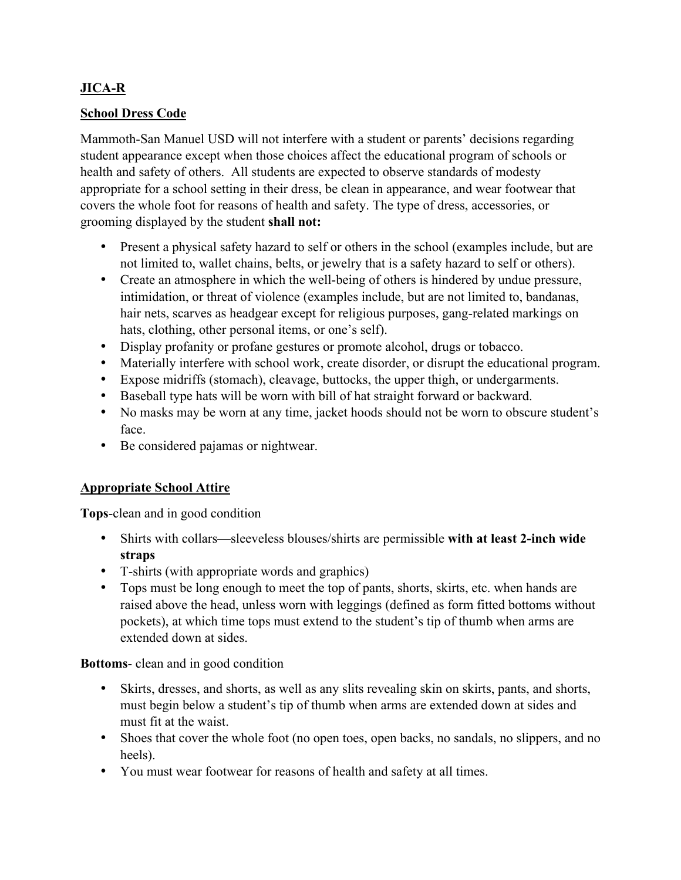# **JICA-R**

# **School Dress Code**

Mammoth-San Manuel USD will not interfere with a student or parents' decisions regarding student appearance except when those choices affect the educational program of schools or health and safety of others. All students are expected to observe standards of modesty appropriate for a school setting in their dress, be clean in appearance, and wear footwear that covers the whole foot for reasons of health and safety. The type of dress, accessories, or grooming displayed by the student **shall not:**

- Present a physical safety hazard to self or others in the school (examples include, but are not limited to, wallet chains, belts, or jewelry that is a safety hazard to self or others).
- Create an atmosphere in which the well-being of others is hindered by undue pressure, intimidation, or threat of violence (examples include, but are not limited to, bandanas, hair nets, scarves as headgear except for religious purposes, gang-related markings on hats, clothing, other personal items, or one's self).
- Display profanity or profane gestures or promote alcohol, drugs or tobacco.
- Materially interfere with school work, create disorder, or disrupt the educational program.
- Expose midriffs (stomach), cleavage, buttocks, the upper thigh, or undergarments.
- Baseball type hats will be worn with bill of hat straight forward or backward.
- No masks may be worn at any time, jacket hoods should not be worn to obscure student's face.
- Be considered pajamas or nightwear.

# **Appropriate School Attire**

**Tops**-clean and in good condition

- Shirts with collars—sleeveless blouses/shirts are permissible **with at least 2-inch wide straps**
- T-shirts (with appropriate words and graphics)
- Tops must be long enough to meet the top of pants, shorts, skirts, etc. when hands are raised above the head, unless worn with leggings (defined as form fitted bottoms without pockets), at which time tops must extend to the student's tip of thumb when arms are extended down at sides.

**Bottoms**- clean and in good condition

- Skirts, dresses, and shorts, as well as any slits revealing skin on skirts, pants, and shorts, must begin below a student's tip of thumb when arms are extended down at sides and must fit at the waist.
- Shoes that cover the whole foot (no open toes, open backs, no sandals, no slippers, and no heels).
- You must wear footwear for reasons of health and safety at all times.